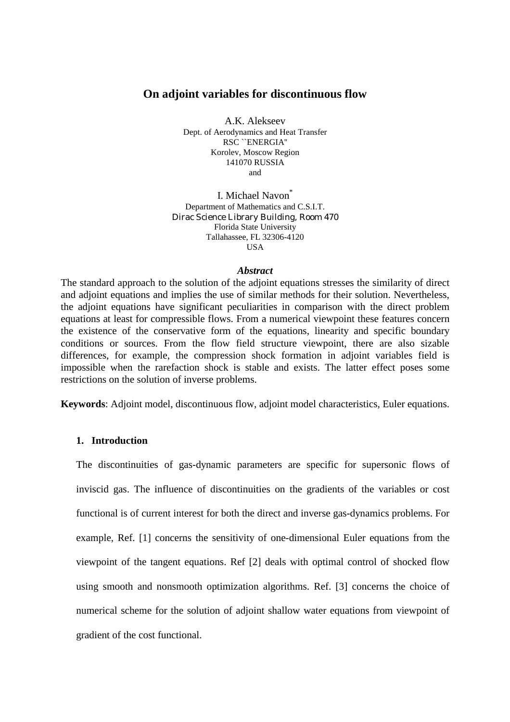## **On adjoint variables for discontinuous flow**

A.K. Alekseev Dept. of Aerodynamics and Heat Transfer RSC ``ENERGIA'' Korolev, Moscow Region 141070 RUSSIA and

I. Michael Navon<sup>\*</sup> Department of Mathematics and C.S.I.T. Dirac Science Library Building, Room 470 Florida State University Tallahassee, FL 32306-4120 **IISA** 

### *Abstract*

The standard approach to the solution of the adjoint equations stresses the similarity of direct and adjoint equations and implies the use of similar methods for their solution. Nevertheless, the adjoint equations have significant peculiarities in comparison with the direct problem equations at least for compressible flows. From a numerical viewpoint these features concern the existence of the conservative form of the equations, linearity and specific boundary conditions or sources. From the flow field structure viewpoint, there are also sizable differences, for example, the compression shock formation in adjoint variables field is impossible when the rarefaction shock is stable and exists. The latter effect poses some restrictions on the solution of inverse problems.

**Keywords**: Adjoint model, discontinuous flow, adjoint model characteristics, Euler equations.

## **1. Introduction**

The discontinuities of gas-dynamic parameters are specific for supersonic flows of inviscid gas. The influence of discontinuities on the gradients of the variables or cost functional is of current interest for both the direct and inverse gas-dynamics problems. For example, Ref. [1] concerns the sensitivity of one-dimensional Euler equations from the viewpoint of the tangent equations. Ref [2] deals with optimal control of shocked flow using smooth and nonsmooth optimization algorithms. Ref. [3] concerns the choice of numerical scheme for the solution of adjoint shallow water equations from viewpoint of gradient of the cost functional.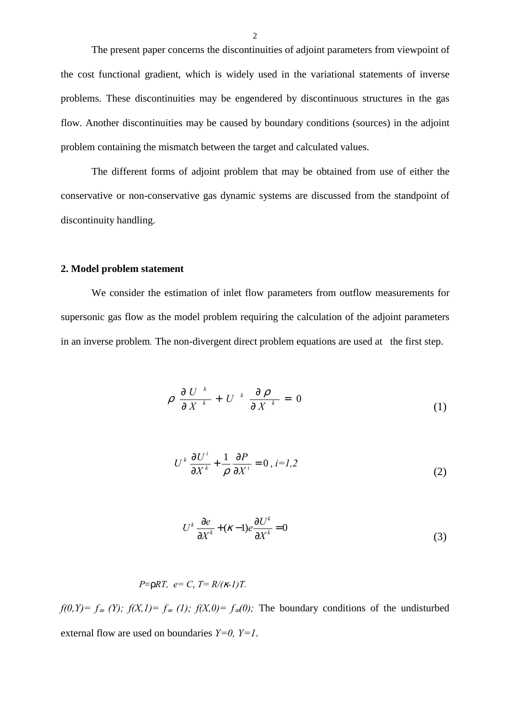The present paper concerns the discontinuities of adjoint parameters from viewpoint of the cost functional gradient, which is widely used in the variational statements of inverse problems. These discontinuities may be engendered by discontinuous structures in the gas flow. Another discontinuities may be caused by boundary conditions (sources) in the adjoint problem containing the mismatch between the target and calculated values.

 The different forms of adjoint problem that may be obtained from use of either the conservative or non-conservative gas dynamic systems are discussed from the standpoint of discontinuity handling.

## **2. Model problem statement**

We consider the estimation of inlet flow parameters from outflow measurements for supersonic gas flow as the model problem requiring the calculation of the adjoint parameters in an inverse problem*.* The non-divergent direct problem equations are used at the first step.

$$
\rho \frac{\partial U}{\partial X}^k + U^k \frac{\partial \rho}{\partial X} = 0 \tag{1}
$$

$$
U^k \frac{\partial U^i}{\partial X^k} + \frac{1}{\rho} \frac{\partial P}{\partial X^i} = 0, i = I, 2
$$
 (2)

$$
U^k \frac{\partial e}{\partial X^k} + (\kappa - 1)e \frac{\partial U^k}{\partial X^k} = 0
$$
\n(3)

$$
P=\rho RT, e=C_v T=R/(k-l)T.
$$

*f*(0, *Y*) =  $f_{\infty}$  *(Y);*  $f(X,1) = f_{\infty}$  *(1);*  $f(X,0) = f_{\infty}(0)$ ; The boundary conditions of the undisturbed external flow are used on boundaries *Y=0, Y=1*.

 $\overline{2}$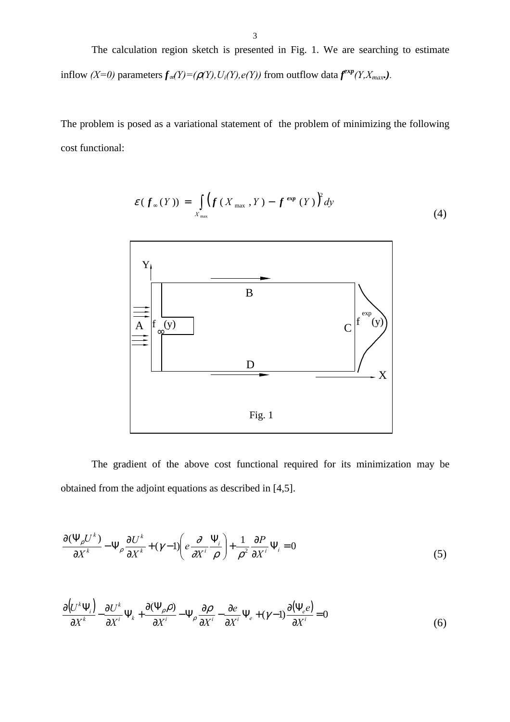The calculation region sketch is presented in Fig. 1. We are searching to estimate inflow *(X=0)* parameters  $f_{\infty}(Y) = (\rho(Y), U_i(Y), e(Y))$  from outflow data  $f^{exp}(Y, X_{max})$ *.* 

The problem is posed as a variational statement of the problem of minimizing the following cost functional:

$$
\mathcal{E}(f_{\infty}(Y)) = \int_{X_{\max}} \left(f(X_{\max}, Y) - f^{\exp}(Y)\right)^2 dy
$$
 (4)



The gradient of the above cost functional required for its minimization may be obtained from the adjoint equations as described in [4,5].

$$
\frac{\partial(\Psi_{\rho}U^{k})}{\partial X^{k}} - \Psi_{\rho}\frac{\partial U^{k}}{\partial X^{k}} + (\gamma - 1)\left(e\frac{\partial}{\partial X^{i}}\frac{\Psi_{i}}{\rho}\right) + \frac{1}{\rho^{2}}\frac{\partial P}{\partial X^{i}}\Psi_{i} = 0
$$
\n(5)

$$
\frac{\partial (U^k \Psi_i)}{\partial X^k} - \frac{\partial U^k}{\partial X^i} \Psi_k + \frac{\partial (\Psi_\rho \rho)}{\partial X^i} - \Psi_\rho \frac{\partial \rho}{\partial X^i} - \frac{\partial e}{\partial X^i} \Psi_e + (\gamma - 1) \frac{\partial (\Psi_e e)}{\partial X^i} = 0
$$
(6)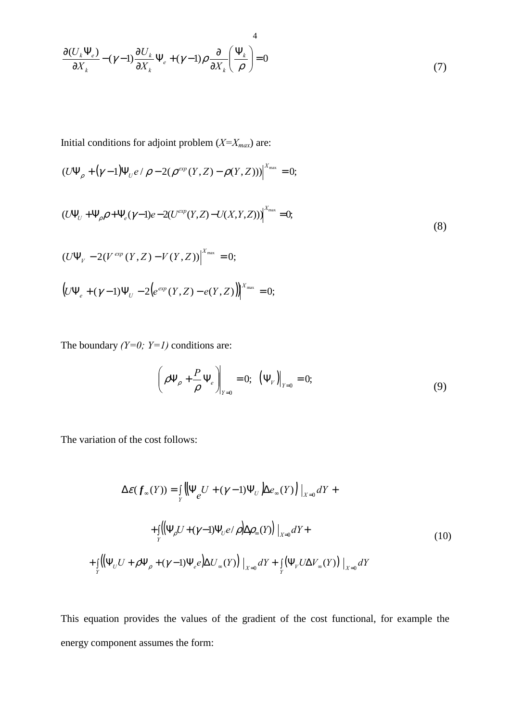$$
\frac{\partial (U_k \Psi_e)}{\partial X_k} - (\gamma - 1) \frac{\partial U_k}{\partial X_k} \Psi_e + (\gamma - 1) \rho \frac{\partial}{\partial X_k} \left(\frac{\Psi_k}{\rho}\right) = 0
$$
\n(7)

Initial conditions for adjoint problem  $(X=X_{max})$  are:

$$
(U\Psi_{\rho} + (\gamma - 1)\Psi_{U}e / \rho - 2(\rho^{exp}(Y, Z) - \rho(Y, Z)))\Big|_{X_{\max}}^X = 0;
$$

$$
(U\Psi_U + \Psi_{\rho}\rho + \Psi_e(\gamma - 1)e - 2(U^{exp}(Y, Z) - U(X, Y, Z)))\Big|_{x_{\text{max}}} = 0;
$$
\n(8)

$$
(U\Psi_{V} - 2(V^{exp}(Y,Z) - V(Y,Z))|^{X_{\text{max}}} = 0;
$$
  

$$
(U\Psi_{e} + (\gamma - 1)\Psi_{U} - 2(e^{exp}(Y,Z) - e(Y,Z)))^{X_{\text{max}}} = 0;
$$

The boundary *(Y=0; Y=1)* conditions are:

$$
\left(\rho \Psi_{\rho} + \frac{P}{\rho} \Psi_{e}\right)_{Y=0} = 0; \ \left(\Psi_{V}\right)_{Y=0} = 0; \tag{9}
$$

The variation of the cost follows:

$$
\Delta \mathcal{E}(\boldsymbol{f}_{\infty}(Y)) = \iint_{Y} \left( \left| \Psi_{\ell} U + (\gamma - 1) \Psi_{U} \right| \Delta e_{\infty}(Y) \right) \Big|_{X=0} dY +
$$
  
+ 
$$
\int_{Y} \left( \left| \Psi_{\rho} U + (\gamma - 1) \Psi_{U} e / \rho \right| \Delta \rho_{\infty}(Y) \right) \Big|_{X=0} dY +
$$
  
+ 
$$
\int_{Y} \left( \left| \Psi_{U} U + \rho \Psi_{\rho} + (\gamma - 1) \Psi_{\ell} e \right| \Delta U_{\infty}(Y) \right) \Big|_{X=0} dY + \int_{Y} \left( \Psi_{V} U \Delta V_{\infty}(Y) \right) \Big|_{X=0} dY
$$
 (10)

This equation provides the values of the gradient of the cost functional, for example the energy component assumes the form: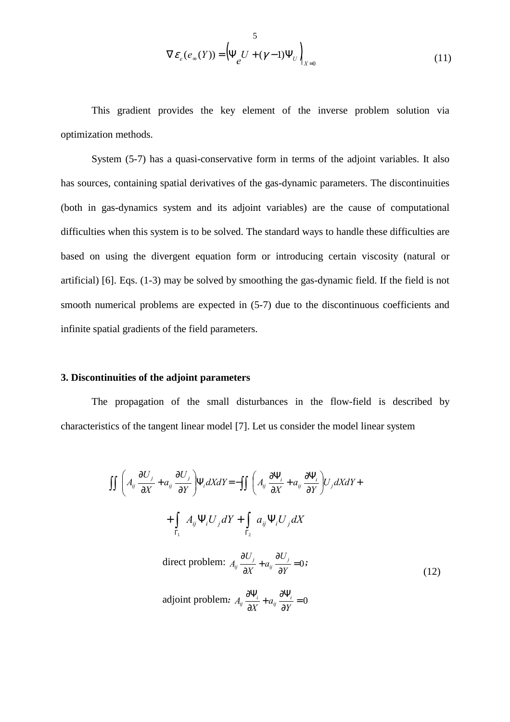$$
\nabla \mathcal{E}_e(e_\infty(Y)) = \left(\Psi_e U + (\gamma - 1)\Psi_U\right)_{X=0}
$$
\n(11)

This gradient provides the key element of the inverse problem solution via optimization methods.

System (5-7) has a quasi-conservative form in terms of the adjoint variables. It also has sources, containing spatial derivatives of the gas-dynamic parameters. The discontinuities (both in gas-dynamics system and its adjoint variables) are the cause of computational difficulties when this system is to be solved. The standard ways to handle these difficulties are based on using the divergent equation form or introducing certain viscosity (natural or artificial) [6]. Eqs. (1-3) may be solved by smoothing the gas-dynamic field. If the field is not smooth numerical problems are expected in (5-7) due to the discontinuous coefficients and infinite spatial gradients of the field parameters.

## **3. Discontinuities of the adjoint parameters**

The propagation of the small disturbances in the flow-field is described by characteristics of the tangent linear model [7]. Let us consider the model linear system

$$
\iint \left( A_{ij} \frac{\partial U_j}{\partial X} + a_{ij} \frac{\partial U_j}{\partial Y} \right) \Psi_i dX dY = - \iint \left( A_{ij} \frac{\partial \Psi_i}{\partial X} + a_{ij} \frac{\partial \Psi_i}{\partial Y} \right) U_j dX dY +
$$
  
+ 
$$
\int_{\Gamma_1} A_{ij} \Psi_i U_j dY + \int_{\Gamma_2} a_{ij} \Psi_i U_j dX
$$
  
direct problem: 
$$
A_{ij} \frac{\partial U_j}{\partial X} + a_{ij} \frac{\partial U_j}{\partial Y} = 0;
$$
 (12)  
adjoint problem: 
$$
A_{ij} \frac{\partial \Psi_i}{\partial X} + a_{ij} \frac{\partial \Psi_i}{\partial Y} = 0
$$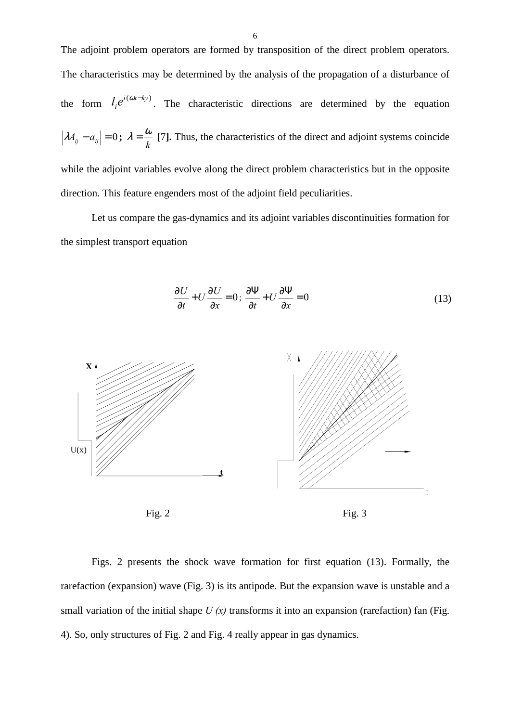The adjoint problem operators are formed by transposition of the direct problem operators. The characteristics may be determined by the analysis of the propagation of a disturbance of the form  $l_i e^{i(\alpha x - ky)}$ . The characteristic directions are determined by the equation  $\lambda A_{ij} - a_{ij} = 0$ ;  $\lambda = \frac{\omega}{k}$  [7]. Thus, the characteristics of the direct and adjoint systems coincide while the adjoint variables evolve along the direct problem characteristics but in the opposite direction. This feature engenders most of the adjoint field peculiarities.

Let us compare the gas-dynamics and its adjoint variables discontinuities formation for the simplest transport equation

$$
\frac{\partial U}{\partial t} + U \frac{\partial U}{\partial x} = 0; \frac{\partial \Psi}{\partial t} + U \frac{\partial \Psi}{\partial x} = 0
$$
\n(13)



Figs. 2 presents the shock wave formation for first equation (13). Formally, the rarefaction (expansion) wave (Fig. 3) is its antipode. But the expansion wave is unstable and a small variation of the initial shape  $U(x)$  transforms it into an expansion (rarefaction) fan (Fig. 4). So, only structures of Fig. 2 and Fig. 4 really appear in gas dynamics.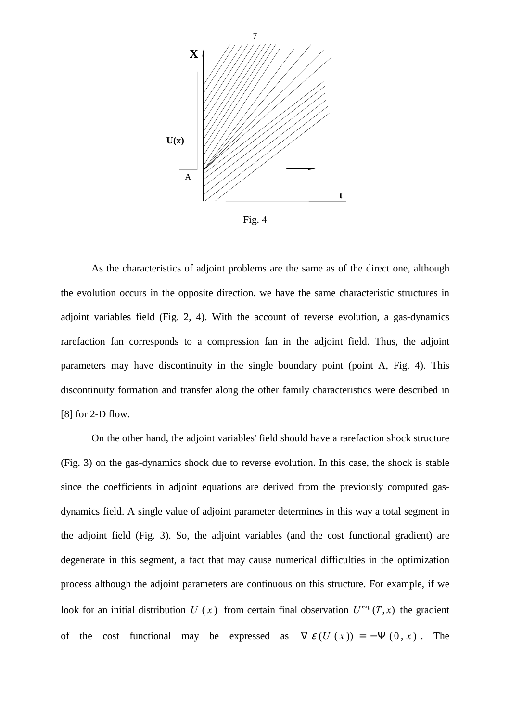

Fig. 4

As the characteristics of adjoint problems are the same as of the direct one, although the evolution occurs in the opposite direction, we have the same characteristic structures in adjoint variables field (Fig. 2, 4). With the account of reverse evolution, a gas-dynamics rarefaction fan corresponds to a compression fan in the adjoint field. Thus, the adjoint parameters may have discontinuity in the single boundary point (point A, Fig. 4). This discontinuity formation and transfer along the other family characteristics were described in [8] for 2-D flow.

On the other hand, the adjoint variables' field should have a rarefaction shock structure (Fig. 3) on the gas-dynamics shock due to reverse evolution. In this case, the shock is stable since the coefficients in adjoint equations are derived from the previously computed gasdynamics field. A single value of adjoint parameter determines in this way a total segment in the adjoint field (Fig. 3). So, the adjoint variables (and the cost functional gradient) are degenerate in this segment, a fact that may cause numerical difficulties in the optimization process although the adjoint parameters are continuous on this structure. For example, if we look for an initial distribution  $U(x)$  from certain final observation  $U^{\text{exp}}(T, x)$  the gradient of the cost functional may be expressed as  $\nabla \mathcal{E}(U(x)) = -\Psi(0, x)$ . The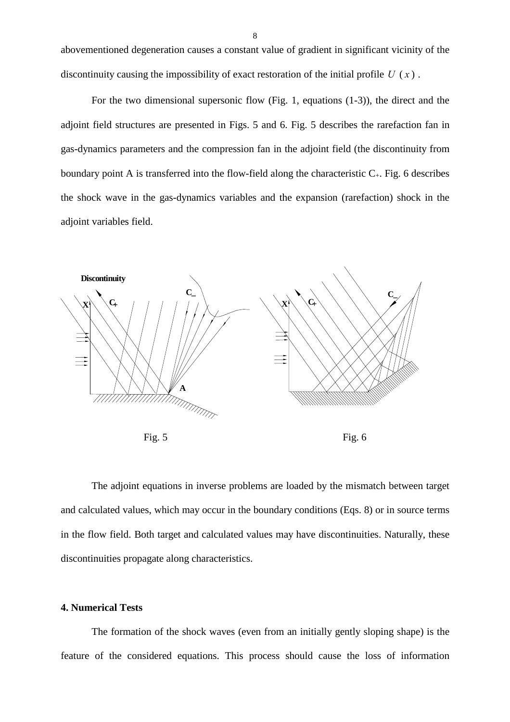abovementioned degeneration causes a constant value of gradient in significant vicinity of the discontinuity causing the impossibility of exact restoration of the initial profile  $U(x)$ .

For the two dimensional supersonic flow (Fig. 1, equations (1-3)), the direct and the adjoint field structures are presented in Figs. 5 and 6. Fig. 5 describes the rarefaction fan in gas-dynamics parameters and the compression fan in the adjoint field (the discontinuity from boundary point A is transferred into the flow-field along the characteristic  $C_{+}$ . Fig. 6 describes the shock wave in the gas-dynamics variables and the expansion (rarefaction) shock in the adjoint variables field.



 The adjoint equations in inverse problems are loaded by the mismatch between target and calculated values, which may occur in the boundary conditions (Eqs. 8) or in source terms in the flow field. Both target and calculated values may have discontinuities. Naturally, these discontinuities propagate along characteristics.

## **4. Numerical Tests**

The formation of the shock waves (even from an initially gently sloping shape) is the feature of the considered equations. This process should cause the loss of information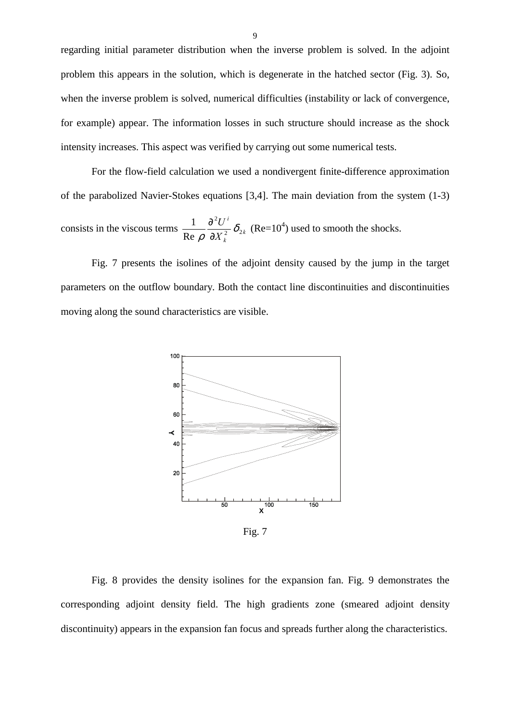regarding initial parameter distribution when the inverse problem is solved. In the adjoint problem this appears in the solution, which is degenerate in the hatched sector (Fig. 3). So, when the inverse problem is solved, numerical difficulties (instability or lack of convergence, for example) appear. The information losses in such structure should increase as the shock intensity increases. This aspect was verified by carrying out some numerical tests.

For the flow-field calculation we used a nondivergent finite-difference approximation of the parabolized Navier-Stokes equations [3,4]. The main deviation from the system (1-3) consists in the viscous terms  $\frac{1}{R} \frac{\partial}{\partial x^2} \delta_{2k}$ *i U* 2  $\frac{1}{\sqrt{2}}\frac{\partial^2 U^i}{\partial \sqrt{2}}\delta_i$  $\frac{\partial^2 U^i}{\partial x^2} \delta_{2k}$  (Re=10<sup>4</sup>) used to smooth the shocks.

*k*

 $\overline{2}$   $\overline{v}_2$ 

*X*

ρ ∂

Re

Fig. 7 presents the isolines of the adjoint density caused by the jump in the target parameters on the outflow boundary. Both the contact line discontinuities and discontinuities moving along the sound characteristics are visible.



Fig. 7

Fig. 8 provides the density isolines for the expansion fan. Fig. 9 demonstrates the corresponding adjoint density field. The high gradients zone (smeared adjoint density discontinuity) appears in the expansion fan focus and spreads further along the characteristics.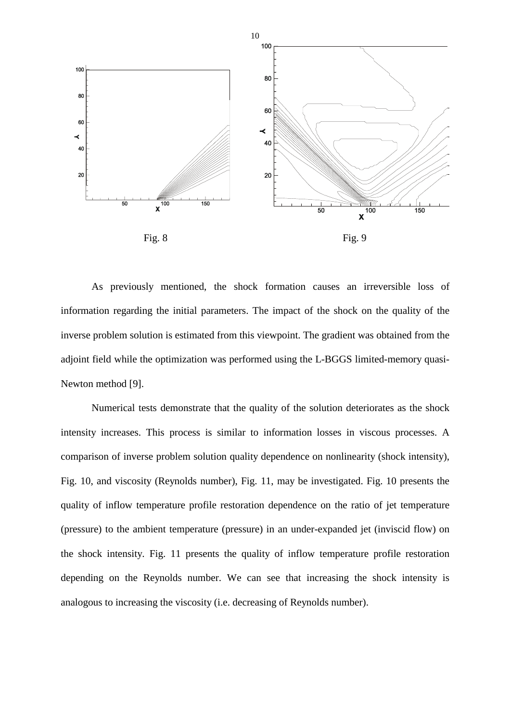

As previously mentioned, the shock formation causes an irreversible loss of information regarding the initial parameters. The impact of the shock on the quality of the inverse problem solution is estimated from this viewpoint. The gradient was obtained from the adjoint field while the optimization was performed using the L-BGGS limited-memory quasi-Newton method [9].

Numerical tests demonstrate that the quality of the solution deteriorates as the shock intensity increases. This process is similar to information losses in viscous processes. A comparison of inverse problem solution quality dependence on nonlinearity (shock intensity), Fig. 10, and viscosity (Reynolds number), Fig. 11, may be investigated. Fig. 10 presents the quality of inflow temperature profile restoration dependence on the ratio of jet temperature (pressure) to the ambient temperature (pressure) in an under-expanded jet (inviscid flow) on the shock intensity. Fig. 11 presents the quality of inflow temperature profile restoration depending on the Reynolds number. We can see that increasing the shock intensity is analogous to increasing the viscosity (i.e. decreasing of Reynolds number).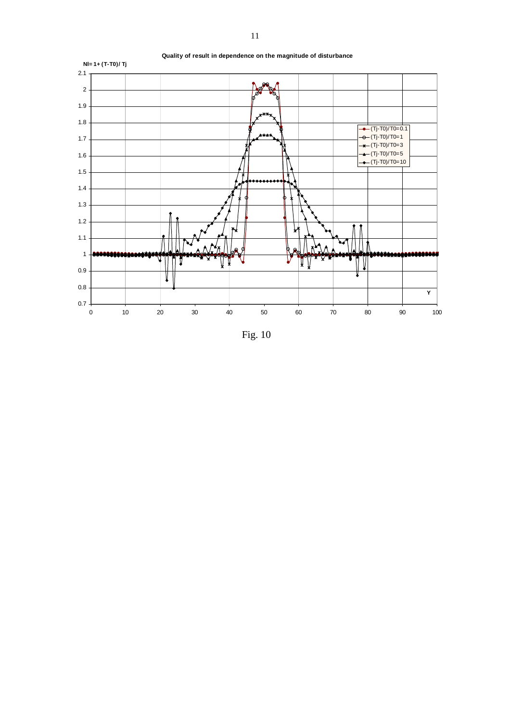

Fig. 10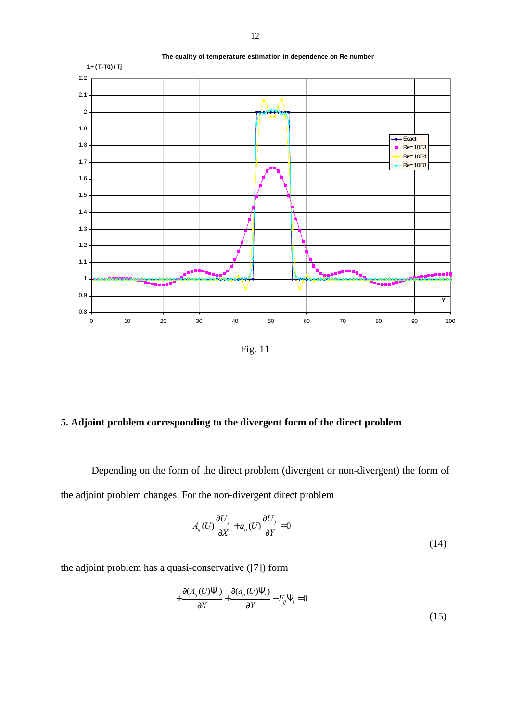

Fig. 11

# **5. Adjoint problem corresponding to the divergent form of the direct problem**

 Depending on the form of the direct problem (divergent or non-divergent) the form of the adjoint problem changes. For the non-divergent direct problem

$$
A_{ij}(U)\frac{\partial U_j}{\partial X} + a_{ij}(U)\frac{\partial U_j}{\partial Y} = 0
$$
\n(14)

the adjoint problem has a quasi-conservative ([7]) form

$$
+\frac{\partial (A_{ij}(U)\Psi_i)}{\partial X} + \frac{\partial (a_{ij}(U)\Psi_i)}{\partial Y} - F_{ij}\Psi_i = 0
$$
\n(15)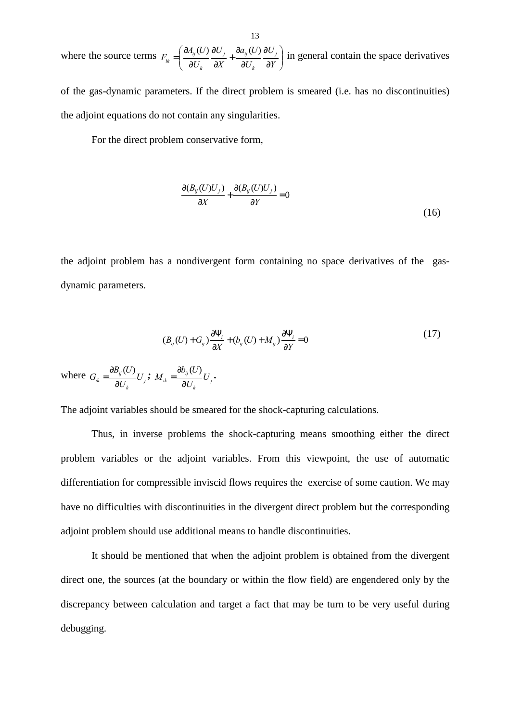where the source terms  $F_{ik} = \left| \frac{\partial A_{ij}(C)}{\partial U} \frac{\partial C_j}{\partial V} + \frac{\partial A_{ij}(C)}{\partial U} \frac{\partial C_j}{\partial V} \right|$ J  $\backslash$ l  $\setminus$ ſ ∂ ∂ ∂ ∂ + ∂ ∂  $=\left(\frac{\partial A_{ij}(U)}{\partial U_k}\frac{\partial U_j}{\partial X} + \frac{\partial a_{ij}(U)}{\partial U_k}\frac{\partial U_j}{\partial Y}\right)$ *U*  $a_{ii}(U)$ *X U U*  $F_{ik} = \left(\frac{\partial A_{ij}(U)}{\partial U_j} \frac{\partial U_j}{\partial U_j} + \frac{\partial a_{ij}(U)}{\partial U_j} \frac{\partial U_j}{\partial U_j}\right)$ *k j ij k ij*  $\hat{a}_{ik} = \left( \frac{\partial A_{ij}(U)}{\partial U_i} \frac{\partial U_j}{\partial V_i} + \frac{\partial a_{ij}(U)}{\partial U_i} \frac{\partial U_j}{\partial V_i} \right)$  in general contain the space derivatives

of the gas-dynamic parameters. If the direct problem is smeared (i.e. has no discontinuities) the adjoint equations do not contain any singularities.

For the direct problem conservative form,

$$
\frac{\partial (B_{ij}(U)U_j)}{\partial X} + \frac{\partial (B_{ij}(U)U_j)}{\partial Y} = 0
$$
\n(16)

the adjoint problem has a nondivergent form containing no space derivatives of the gasdynamic parameters.

$$
(B_{ij}(U) + G_{ij})\frac{\partial \Psi_i}{\partial X} + (b_{ij}(U) + M_{ij})\frac{\partial \Psi_i}{\partial Y} = 0
$$
\n(17)

where  $G_{ik} = \frac{OD_{ij}(C)}{2I}U_{jk}$ *k*  $\frac{d}{dt} = \frac{\partial D_{ij}(U)}{\partial U_k} U$  $B_{ii}(U)$ *G* ∂  $=\frac{\partial B_{ij}(U)}{\partial U_i}U_j; M_{ik}=\frac{\partial b_{ij}(U)}{\partial U_j}U_j$ *k*  $\frac{\partial v_{ij}(C)}{\partial U_k}U$  $b_{ii}(U)$ *M* ∂  $=\frac{\partial b_{ij}(U)}{\partial x^i}U_i$ .

The adjoint variables should be smeared for the shock-capturing calculations.

 Thus, in inverse problems the shock-capturing means smoothing either the direct problem variables or the adjoint variables. From this viewpoint, the use of automatic differentiation for compressible inviscid flows requires the exercise of some caution. We may have no difficulties with discontinuities in the divergent direct problem but the corresponding adjoint problem should use additional means to handle discontinuities.

It should be mentioned that when the adjoint problem is obtained from the divergent direct one, the sources (at the boundary or within the flow field) are engendered only by the discrepancy between calculation and target a fact that may be turn to be very useful during debugging.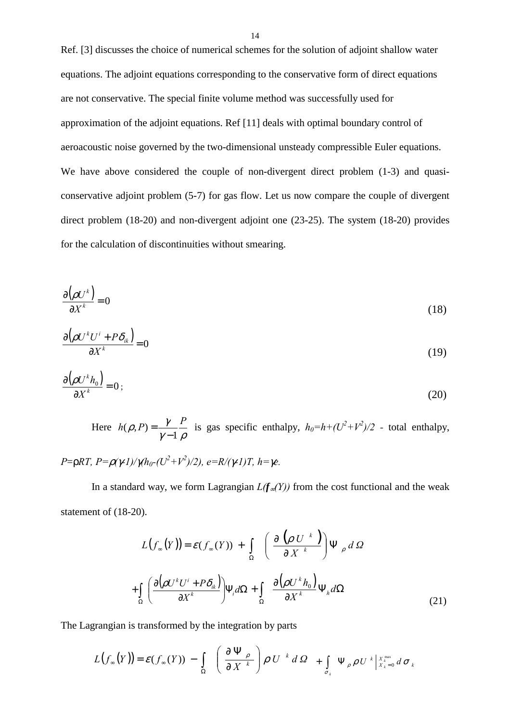Ref. [3] discusses the choice of numerical schemes for the solution of adjoint shallow water equations. The adjoint equations corresponding to the conservative form of direct equations are not conservative. The special finite volume method was successfully used for approximation of the adjoint equations. Ref [11] deals with optimal boundary control of aeroacoustic noise governed by the two-dimensional unsteady compressible Euler equations. We have above considered the couple of non-divergent direct problem  $(1-3)$  and quasiconservative adjoint problem (5-7) for gas flow. Let us now compare the couple of divergent direct problem (18-20) and non-divergent adjoint one (23-25). The system (18-20) provides for the calculation of discontinuities without smearing.

$$
\frac{\partial(\rho U^k)}{\partial X^k} = 0\tag{18}
$$

$$
\frac{\partial \left(\rho U^k U^i + P \delta_{ik}\right)}{\partial X^k} = 0\tag{19}
$$

$$
\frac{\partial \left(\rho U^k h_0\right)}{\partial X^k} = 0 \tag{20}
$$

Here  $\gamma-1$   $\rho$  $h(\rho, P) = \frac{\gamma}{\gamma - 1} \frac{P}{\rho}$  is gas specific enthalpy,  $h_0 = h + (U^2 + V^2)/2$  - total enthalpy, *P*=ρ*RT, P=*ρ*(*γ*-1)/*γ*(h0-(U2 +V2 )/2), e=R/(*γ*-1)T, h=*γ*e.* 

In a standard way, we form Lagrangian  $L(f_{\infty}(Y))$  from the cost functional and the weak statement of (18-20).

$$
L(f_{\infty}(Y)) = \varepsilon(f_{\infty}(Y)) + \int_{\Omega} \left( \frac{\partial (\rho U^{k})}{\partial X^{k}} \right) \Psi_{\rho} d\Omega
$$
  
+ 
$$
\int_{\Omega} \left( \frac{\partial (\rho U^{k} U^{i} + P \delta_{ik})}{\partial X^{k}} \right) \Psi_{i} d\Omega + \int_{\Omega} \frac{\partial (\rho U^{k} h_{0})}{\partial X^{k}} \Psi_{h} d\Omega
$$
 (21)

The Lagrangian is transformed by the integration by parts

$$
L(f_{\infty}(Y)) = \mathcal{E}(f_{\infty}(Y)) - \int_{\Omega} \left( \frac{\partial \Psi_{\rho}}{\partial X^{k}} \right) \rho U^{k} d\Omega + \int_{\sigma_{k}} \Psi_{\rho} \rho U^{k} \Big|_{X_{k}=0}^{X_{k}^{\max}} d\sigma_{k}
$$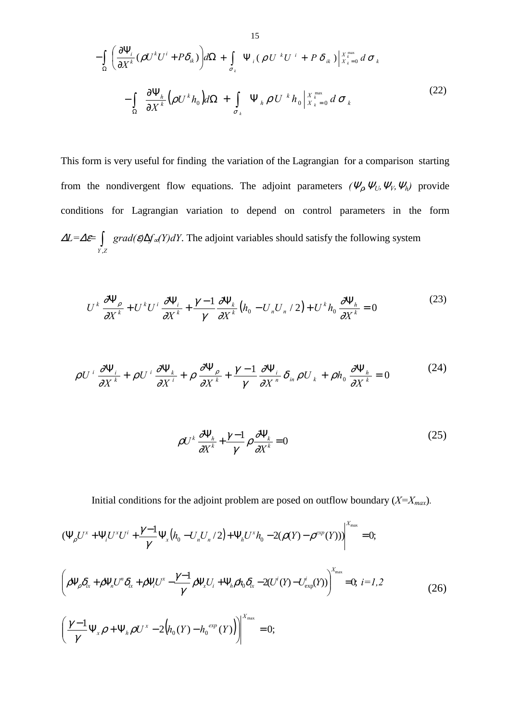$$
-\int_{\Omega} \left( \frac{\partial \Psi_{i}}{\partial X^{k}} (\rho U^{k} U^{i} + P \delta_{ik}) \right) d\Omega + \int_{\sigma_{k}} \Psi_{i} (\rho U^{k} U^{i} + P \delta_{ik}) \Big|_{X_{k}=0}^{X_{k}^{\max}} d\sigma_{k} -\int_{\Omega} \frac{\partial \Psi_{h}}{\partial X^{k}} (\rho U^{k} h_{0}) d\Omega + \int_{\sigma_{k}} \Psi_{h} \rho U^{k} h_{0} \Big|_{X_{k}=0}^{X_{k}^{\max}} d\sigma_{k}
$$
(22)

This form is very useful for finding the variation of the Lagrangian for a comparison starting from the nondivergent flow equations. The adjoint parameters  $(\Psi_{\rho}, \Psi_{U}, \Psi_{W}, \Psi_{h})$  provide conditions for Lagrangian variation to depend on control parameters in the form <sup>∆</sup>*L=*∆ε<sup>=</sup> ∫ *Y* ,*Z grad(*ε*)*∆*f*∞*(Y)dY*. The adjoint variables should satisfy the following system

$$
U^k \frac{\partial \Psi_\rho}{\partial X^k} + U^k U^i \frac{\partial \Psi_i}{\partial X^k} + \frac{\gamma - 1}{\gamma} \frac{\partial \Psi_k}{\partial X^k} \left( h_0 - U_n U_n / 2 \right) + U^k h_0 \frac{\partial \Psi_h}{\partial X^k} = 0 \tag{23}
$$

$$
\rho U^{i} \frac{\partial \Psi_{i}}{\partial X^{k}} + \rho U^{i} \frac{\partial \Psi_{k}}{\partial X^{i}} + \rho \frac{\partial \Psi_{\rho}}{\partial X^{k}} + \frac{\gamma - 1}{\gamma} \frac{\partial \Psi_{i}}{\partial X^{n}} \delta_{in} \rho U_{k} + \rho h_{0} \frac{\partial \Psi_{h}}{\partial X^{k}} = 0
$$
\n(24)

$$
\rho U^k \frac{\partial \Psi_h}{\partial X^k} + \frac{\gamma - 1}{\gamma} \rho \frac{\partial \Psi_k}{\partial X^k} = 0
$$
\n(25)

Initial conditions for the adjoint problem are posed on outflow boundary (*X=Xmax*)*.*

$$
(\Psi_{\rho}U^{x} + \Psi_{i}U^{x}U^{i} + \frac{\gamma - 1}{\gamma}\Psi_{x}(h_{0} - U_{n}U_{n}/2) + \Psi_{h}U^{x}h_{0} - 2(\rho(Y) - \rho^{exp}(Y))\Big|^{X_{\max}} = 0;
$$
  

$$
\left(\rho\Psi_{\rho}\delta_{ix} + \rho\Psi_{n}U^{n}\delta_{ix} + \rho\Psi_{i}U^{x} - \frac{\gamma - 1}{\gamma}\rho\Psi_{x}U_{i} + \Psi_{h}\rho h_{0}\delta_{ix} - 2(U^{i}(Y) - U^{i}_{exp}(Y))\right)^{X_{\max}} = 0, \ i = 1, 2
$$
  

$$
\left(\frac{\gamma - 1}{\gamma}\Psi_{x}\rho + \Psi_{h}\rho U^{x} - 2(h_{0}(Y) - h_{0}^{exp}(Y))\right)^{X_{\max}} = 0;
$$
\n(26)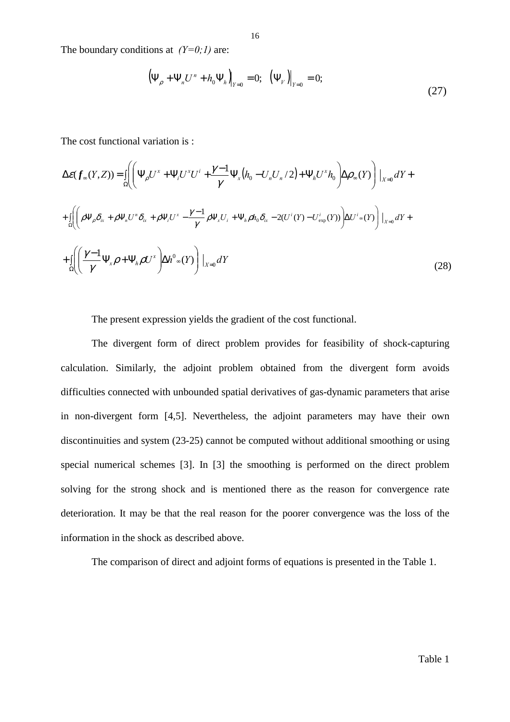The boundary conditions at  $(Y=0;1)$  are:

$$
(\Psi_{\rho} + \Psi_n U^n + h_0 \Psi_h)_{Y=0} = 0; \ \ (\Psi_{V})|_{Y=0} = 0;
$$
\n(27)

The cost functional variation is :

$$
\Delta \varepsilon(f_{\infty}(Y,Z)) = \iint_{\Omega} \left( \Psi_{\rho} U^{x} + \Psi_{i} U^{x} U^{i} + \frac{\gamma - 1}{\gamma} \Psi_{x} (h_{0} - U_{n} U_{n}/2) + \Psi_{h} U^{x} h_{0} \right) \Delta \rho_{\infty}(Y) \Big|_{X=0} dY +
$$
  
+ 
$$
\iint_{\Omega} \left( \rho \Psi_{\rho} \delta_{\alpha} + \rho \Psi_{n} U^{n} \delta_{\alpha} + \rho \Psi_{i} U^{x} - \frac{\gamma - 1}{\gamma} \rho \Psi_{x} U_{i} + \Psi_{h} \rho h_{0} \delta_{\alpha} - 2(U^{i}(Y) - U^{i}_{\exp}(Y)) \right) \Delta U^{i} \sim (Y) \Big|_{X=0} dY +
$$
  
+ 
$$
\iint_{\Omega} \left( \frac{\gamma - 1}{\gamma} \Psi_{x} \rho + \Psi_{h} \rho U^{x} \right) \Delta h^{0} \sim (Y) \Big|_{X=0} dY
$$
 (28)

The present expression yields the gradient of the cost functional.

The divergent form of direct problem provides for feasibility of shock-capturing calculation. Similarly, the adjoint problem obtained from the divergent form avoids difficulties connected with unbounded spatial derivatives of gas-dynamic parameters that arise in non-divergent form [4,5]. Nevertheless, the adjoint parameters may have their own discontinuities and system (23-25) cannot be computed without additional smoothing or using special numerical schemes [3]. In [3] the smoothing is performed on the direct problem solving for the strong shock and is mentioned there as the reason for convergence rate deterioration. It may be that the real reason for the poorer convergence was the loss of the information in the shock as described above.

The comparison of direct and adjoint forms of equations is presented in the Table 1.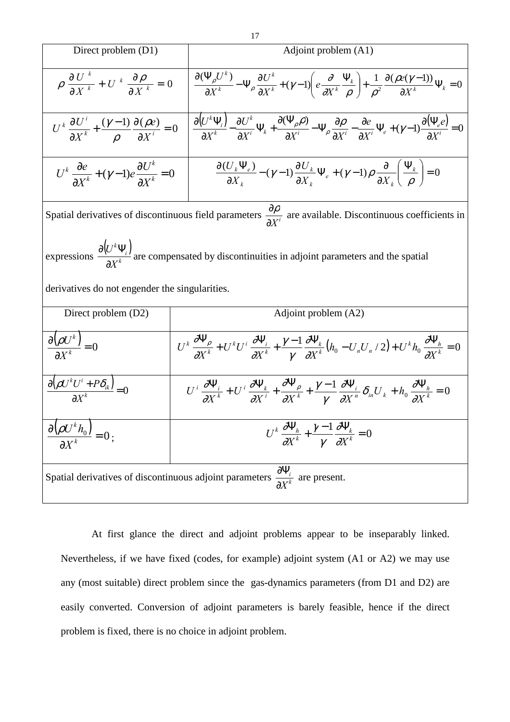Direct problem (D1)  
\n
$$
\rho \frac{\partial U^k}{\partial X^k} + U^k \frac{\partial \rho}{\partial X^k} = 0 \qquad \frac{\partial (\Psi_\rho U^k)}{\partial X^k} - \Psi_\rho \frac{\partial U^k}{\partial X^k} + (\gamma - 1) \left( e \frac{\partial}{\partial X^k} \frac{\Psi_k}{\rho} \right) + \frac{1}{\rho^2} \frac{\partial (\rho e(\gamma - 1))}{\partial X^k} \Psi_k = 0
$$
\n
$$
U^k \frac{\partial U^i}{\partial X^k} + \frac{(\gamma - 1)}{\rho} \frac{\partial (\rho e)}{\partial X^i} = 0 \qquad \frac{\partial (U^k \Psi_i)}{\partial X^k} - \frac{\partial U^k}{\partial X^i} \Psi_k + \frac{\partial (\Psi_\rho \rho)}{\partial X^i} - \Psi_\rho \frac{\partial \rho}{\partial X^i} - \frac{\partial e}{\partial X^i} \Psi_e + (\gamma - 1) \frac{\partial (\Psi_e e)}{\partial X^i} = 0
$$
\n
$$
U^k \frac{\partial e}{\partial X^k} + (\gamma - 1) e \frac{\partial U^k}{\partial X^k} = 0 \qquad \frac{\partial (U_k \Psi_e)}{\partial X_k} - (\gamma - 1) \frac{\partial U_k}{\partial X_k} \Psi_e + (\gamma - 1) \rho \frac{\partial}{\partial X_k} \left( \frac{\Psi_k}{\rho} \right) = 0
$$
\nSpatial derivatives of discontinuous field parameters  $\frac{\partial \rho}{\partial X^i}$  are available. Discontinuous coefficients in  
\nexpressions  $\frac{\partial (U^k \Psi_i)}{\partial X^k}$  are compensated by discontinuities in adjoint parameters and the spatial derivatives do not engeder the singularities.  
\nDirect problem (D2)  
\n $\frac{\partial (\rho U^k)}{\partial X^k} = 0$   
\n $U^k \frac{\partial \Psi_\rho}{\partial X^k} + U^k U^i \frac{\partial \Psi_i}{\partial X^k} + \frac{\gamma - 1}{\gamma} \frac{\partial \Psi_k}{\partial X^k} (\hbar_0 - U_n U_n / 2) + U^k \hbar_0 \frac{\partial \Psi_k}{\partial X^k} = 0$ \n
$$
\frac{\partial (\rho U^k U^i + P \delta_k)}{\partial X^k} = 0
$$
\n
$$
U^k \frac{\partial \Psi_i}{\partial X^k} + U^k \frac{\partial
$$

At first glance the direct and adjoint problems appear to be inseparably linked. Nevertheless, if we have fixed (codes, for example) adjoint system (A1 or A2) we may use any (most suitable) direct problem since the gas-dynamics parameters (from D1 and D2) are easily converted. Conversion of adjoint parameters is barely feasible, hence if the direct problem is fixed, there is no choice in adjoint problem.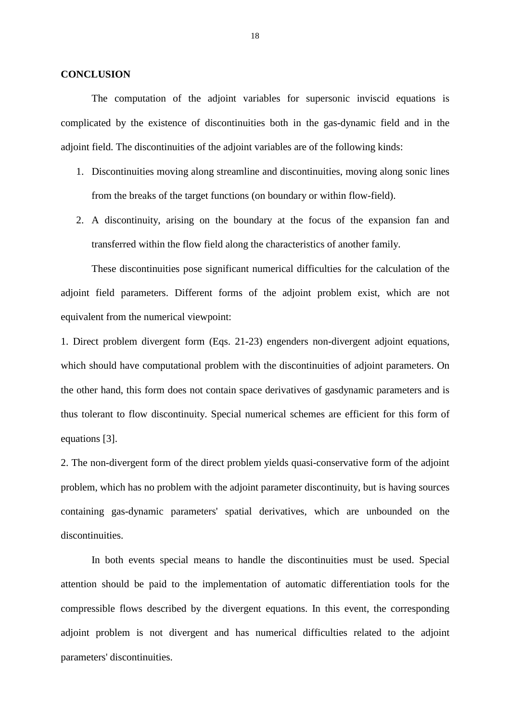## **CONCLUSION**

 The computation of the adjoint variables for supersonic inviscid equations is complicated by the existence of discontinuities both in the gas-dynamic field and in the adjoint field. The discontinuities of the adjoint variables are of the following kinds:

- 1. Discontinuities moving along streamline and discontinuities, moving along sonic lines from the breaks of the target functions (on boundary or within flow-field).
- 2. A discontinuity, arising on the boundary at the focus of the expansion fan and transferred within the flow field along the characteristics of another family.

These discontinuities pose significant numerical difficulties for the calculation of the adjoint field parameters. Different forms of the adjoint problem exist, which are not equivalent from the numerical viewpoint:

1. Direct problem divergent form (Eqs. 21-23) engenders non-divergent adjoint equations, which should have computational problem with the discontinuities of adjoint parameters. On the other hand, this form does not contain space derivatives of gasdynamic parameters and is thus tolerant to flow discontinuity. Special numerical schemes are efficient for this form of equations [3].

2. The non-divergent form of the direct problem yields quasi-conservative form of the adjoint problem, which has no problem with the adjoint parameter discontinuity, but is having sources containing gas-dynamic parameters' spatial derivatives, which are unbounded on the discontinuities.

In both events special means to handle the discontinuities must be used. Special attention should be paid to the implementation of automatic differentiation tools for the compressible flows described by the divergent equations. In this event, the corresponding adjoint problem is not divergent and has numerical difficulties related to the adjoint parameters' discontinuities.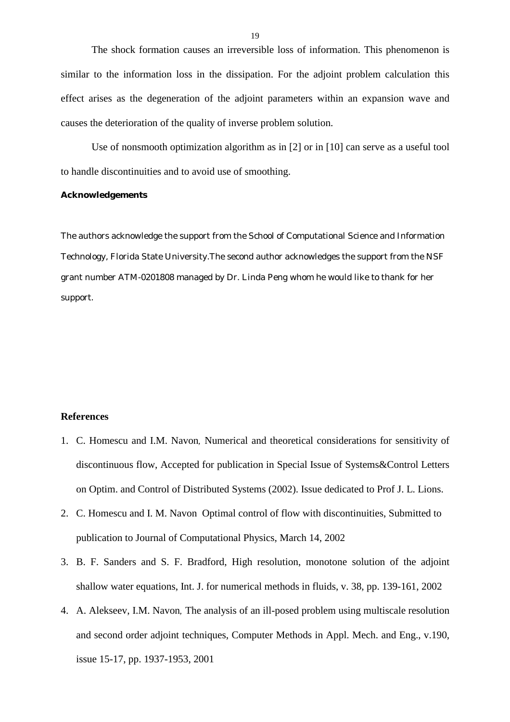The shock formation causes an irreversible loss of information. This phenomenon is similar to the information loss in the dissipation. For the adjoint problem calculation this effect arises as the degeneration of the adjoint parameters within an expansion wave and causes the deterioration of the quality of inverse problem solution.

Use of nonsmooth optimization algorithm as in [2] or in [10] can serve as a useful tool to handle discontinuities and to avoid use of smoothing.

## **Acknowledgements**

The authors acknowledge the support from the School of Computational Science and Information Technology, Florida State University.The second author acknowledges the support from the NSF grant number ATM-0201808 managed by Dr. Linda Peng whom he would like to thank for her support.

## **References**

- 1. C. Homescu and I.M. Navon*,* Numerical and theoretical considerations for sensitivity of discontinuous flow, Accepted for publication in Special Issue of Systems&Control Letters on Optim. and Control of Distributed Systems (2002). Issue dedicated to Prof J. L. Lions.
- 2. C. Homescu and I. M. Navon Optimal control of flow with discontinuities, Submitted to publication to Journal of Computational Physics, March 14, 2002
- 3. B. F. Sanders and S. F. Bradford, High resolution, monotone solution of the adjoint shallow water equations, Int. J. for numerical methods in fluids, v. 38, pp. 139-161, 2002
- 4. A. Alekseev, I.M. Navon*,* The analysis of an ill-posed problem using multiscale resolution and second order adjoint techniques, Computer Methods in Appl. Mech. and Eng., v.190, issue 15-17, pp. 1937-1953, 2001